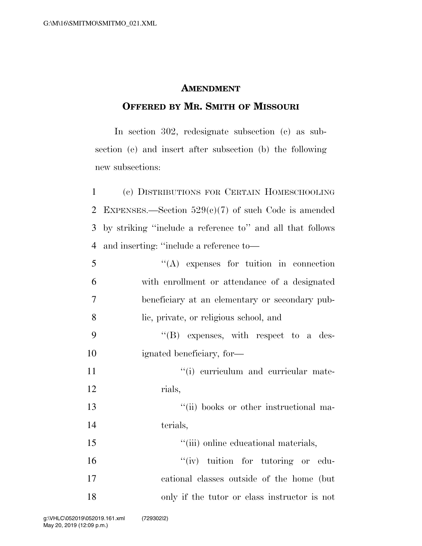## **AMENDMENT**

## **OFFERED BY MR. SMITH OF MISSOURI**

In section 302, redesignate subsection (c) as subsection (e) and insert after subsection (b) the following new subsections:

 (c) DISTRIBUTIONS FOR CERTAIN HOMESCHOOLING EXPENSES.—Section 529(c)(7) of such Code is amended by striking ''include a reference to'' and all that follows and inserting: ''include a reference to—

| 5              | $\lq\lq$ expenses for tuition in connection    |
|----------------|------------------------------------------------|
| 6              | with enrollment or attendance of a designated  |
| $\overline{7}$ | beneficiary at an elementary or secondary pub- |
| 8              | lic, private, or religious school, and         |
| 9              | $\lq\lq(B)$ expenses, with respect to a des-   |
| 10             | ignated beneficiary, for-                      |
| 11             | "(i) curriculum and curricular mate-           |
| 12             | rials,                                         |
| 13             | "(ii) books or other instructional ma-         |
| 14             | terials,                                       |
| 15             | "(iii) online educational materials,           |
| 16             | "(iv) tuition for tutoring or edu-             |
| 17             | cational classes outside of the home (but)     |
| 18             | only if the tutor or class instructor is not   |